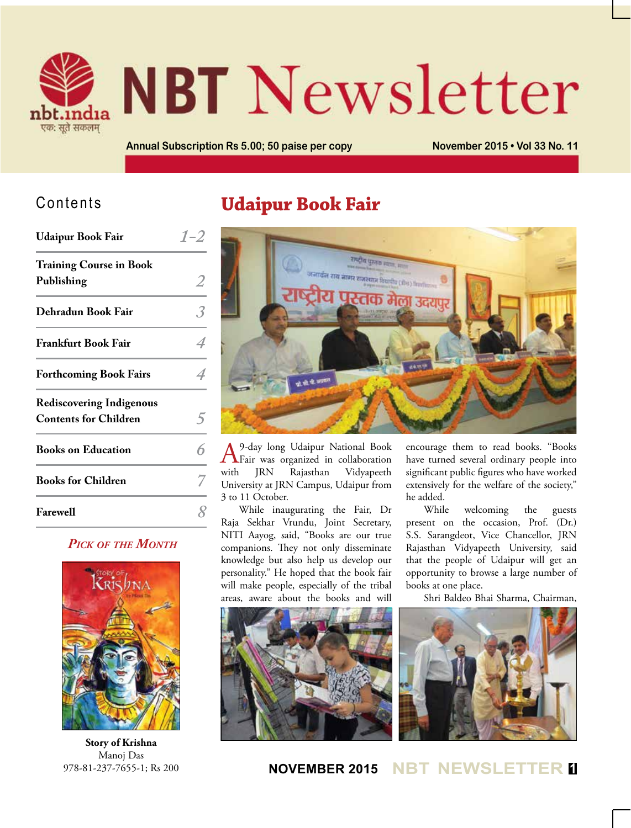

# **NBT** Newsletter

**Annual Subscription Rs 5.00; 50 paise per copy November 2015 • Vol 33 No. 11**

## Contents

| <b>Udaipur Book Fair</b>                                        |  |
|-----------------------------------------------------------------|--|
| <b>Training Course in Book</b><br>Publishing                    |  |
| Dehradun Book Fair                                              |  |
| <b>Frankfurt Book Fair</b>                                      |  |
| <b>Forthcoming Book Fairs</b>                                   |  |
| <b>Rediscovering Indigenous</b><br><b>Contents for Children</b> |  |
| <b>Books on Education</b>                                       |  |
| <b>Books for Children</b>                                       |  |
| <b>Farewell</b>                                                 |  |

#### *Pick of the Month*



**Story of Krishna** Manoj Das 978-81-237-7655-1; Rs 200

## **Udaipur Book Fair**



A 9-day long Udaipur National Book Fair was organized in collaboration with JRN Rajasthan Vidyapeeth University at JRN Campus, Udaipur from 3 to 11 October.

While inaugurating the Fair, Dr Raja Sekhar Vrundu, Joint Secretary, NITI Aayog, said, "Books are our true companions. They not only disseminate knowledge but also help us develop our personality." He hoped that the book fair will make people, especially of the tribal areas, aware about the books and will

encourage them to read books. "Books have turned several ordinary people into significant public figures who have worked extensively for the welfare of the society," he added.

While welcoming the guests present on the occasion, Prof. (Dr.) S.S. Sarangdeot, Vice Chancellor, JRN Rajasthan Vidyapeeth University, said that the people of Udaipur will get an opportunity to browse a large number of books at one place.

Shri Baldeo Bhai Sharma, Chairman,





**NOVEMBER 2015 NBT NEWSLETTER <sup>1</sup>**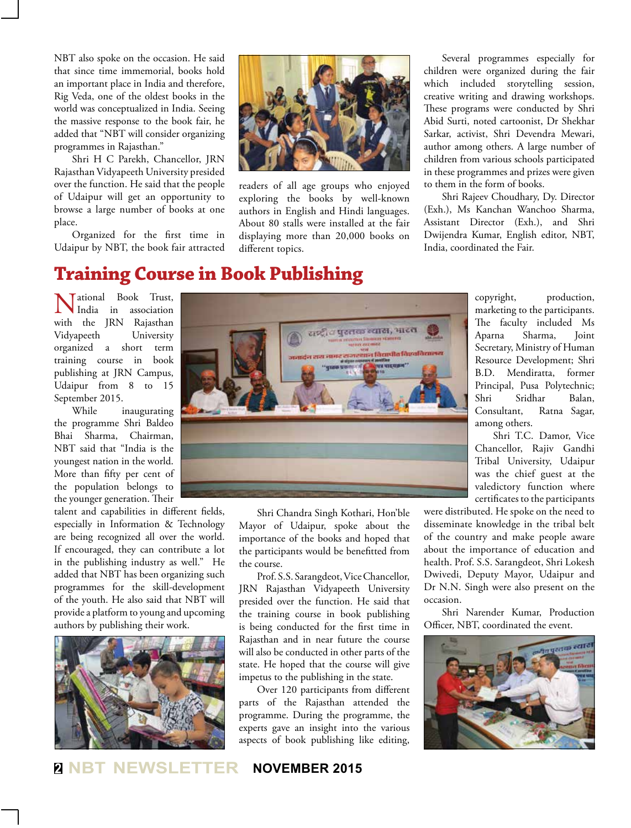NBT also spoke on the occasion. He said that since time immemorial, books hold an important place in India and therefore, Rig Veda, one of the oldest books in the world was conceptualized in India. Seeing the massive response to the book fair, he added that "NBT will consider organizing programmes in Rajasthan."

Shri H C Parekh, Chancellor, JRN Rajasthan Vidyapeeth University presided over the function. He said that the people of Udaipur will get an opportunity to browse a large number of books at one place.

Organized for the first time in Udaipur by NBT, the book fair attracted



readers of all age groups who enjoyed exploring the books by well-known authors in English and Hindi languages. About 80 stalls were installed at the fair displaying more than 20,000 books on different topics.

Several programmes especially for children were organized during the fair which included storytelling session, creative writing and drawing workshops. These programs were conducted by Shri Abid Surti, noted cartoonist, Dr Shekhar Sarkar, activist, Shri Devendra Mewari, author among others. A large number of children from various schools participated in these programmes and prizes were given to them in the form of books.

Shri Rajeev Choudhary, Dy. Director (Exh.), Ms Kanchan Wanchoo Sharma, Assistant Director (Exh.), and Shri Dwijendra Kumar, English editor, NBT, India, coordinated the Fair.

## **Training Course in Book Publishing**

**Tational Book Trust,** India in association with the JRN Rajasthan Vidyapeeth University organized a short term training course in book publishing at JRN Campus, Udaipur from 8 to 15 September 2015.

While inaugurating the programme Shri Baldeo Bhai Sharma, Chairman, NBT said that "India is the youngest nation in the world. More than fifty per cent of the population belongs to the younger generation. Their

talent and capabilities in different fields, especially in Information & Technology are being recognized all over the world. If encouraged, they can contribute a lot in the publishing industry as well." He added that NBT has been organizing such programmes for the skill-development of the youth. He also said that NBT will provide a platform to young and upcoming authors by publishing their work.





Shri Chandra Singh Kothari, Hon'ble Mayor of Udaipur, spoke about the importance of the books and hoped that the participants would be benefitted from the course.

Prof. S.S. Sarangdeot, Vice Chancellor, JRN Rajasthan Vidyapeeth University presided over the function. He said that the training course in book publishing is being conducted for the first time in Rajasthan and in near future the course will also be conducted in other parts of the state. He hoped that the course will give impetus to the publishing in the state.

Over 120 participants from different parts of the Rajasthan attended the programme. During the programme, the experts gave an insight into the various aspects of book publishing like editing,

copyright, production, marketing to the participants. The faculty included Ms Aparna Sharma, Joint Secretary, Ministry of Human Resource Development; Shri B.D. Mendiratta, former Principal, Pusa Polytechnic; Shri Sridhar Balan, Consultant, Ratna Sagar, among others.

Shri T.C. Damor, Vice Chancellor, Rajiv Gandhi Tribal University, Udaipur was the chief guest at the valedictory function where certificates to the participants

were distributed. He spoke on the need to disseminate knowledge in the tribal belt of the country and make people aware about the importance of education and health. Prof. S.S. Sarangdeot, Shri Lokesh Dwivedi, Deputy Mayor, Udaipur and Dr N.N. Singh were also present on the occasion.

Shri Narender Kumar, Production Officer, NBT, coordinated the event.



**<sup>2</sup> NBT NEWSLETTER NOVEMBER 2015**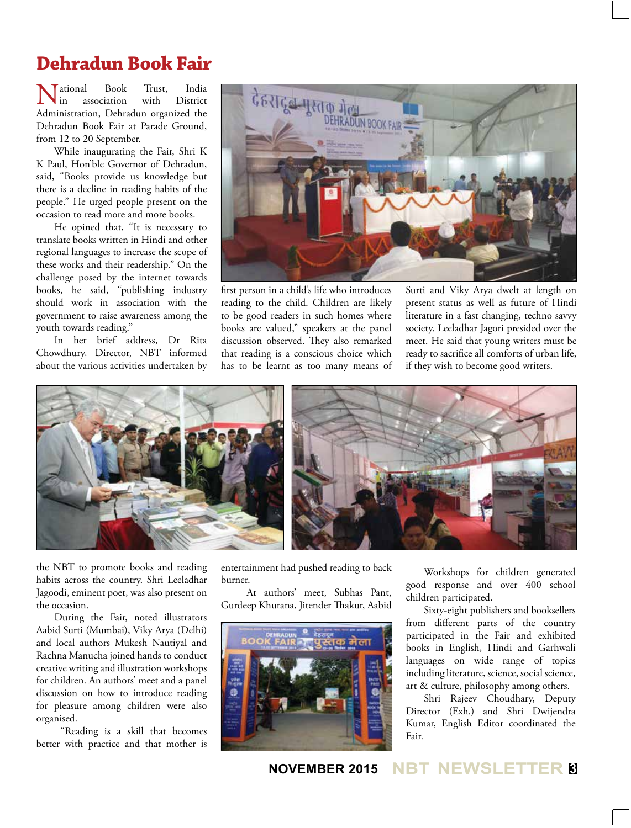## **Dehradun Book Fair**

National Book Trust, India Administration, Dehradun organized the in association with District Dehradun Book Fair at Parade Ground, from 12 to 20 September.

While inaugurating the Fair, Shri K K Paul, Hon'ble Governor of Dehradun, said, "Books provide us knowledge but there is a decline in reading habits of the people." He urged people present on the occasion to read more and more books.

He opined that, "It is necessary to translate books written in Hindi and other regional languages to increase the scope of these works and their readership." On the challenge posed by the internet towards books, he said, "publishing industry should work in association with the government to raise awareness among the youth towards reading."

In her brief address, Dr Rita Chowdhury, Director, NBT informed about the various activities undertaken by



first person in a child's life who introduces reading to the child. Children are likely to be good readers in such homes where books are valued," speakers at the panel discussion observed. They also remarked that reading is a conscious choice which has to be learnt as too many means of Surti and Viky Arya dwelt at length on present status as well as future of Hindi literature in a fast changing, techno savvy society. Leeladhar Jagori presided over the meet. He said that young writers must be ready to sacrifice all comforts of urban life, if they wish to become good writers.



the NBT to promote books and reading habits across the country. Shri Leeladhar Jagoodi, eminent poet, was also present on the occasion.

During the Fair, noted illustrators Aabid Surti (Mumbai), Viky Arya (Delhi) and local authors Mukesh Nautiyal and Rachna Manucha joined hands to conduct creative writing and illustration workshops for children. An authors' meet and a panel discussion on how to introduce reading for pleasure among children were also organised.

 "Reading is a skill that becomes better with practice and that mother is entertainment had pushed reading to back burner.

 At authors' meet, Subhas Pant, Gurdeep Khurana, Jitender Thakur, Aabid



Workshops for children generated good response and over 400 school children participated.

Sixty-eight publishers and booksellers from different parts of the country participated in the Fair and exhibited books in English, Hindi and Garhwali languages on wide range of topics including literature, science, social science, art & culture, philosophy among others.

Shri Rajeev Choudhary, Deputy Director (Exh.) and Shri Dwijendra Kumar, English Editor coordinated the Fair.

**NOVEMBER 2015 NBT NEWSLETTER <sup>3</sup>**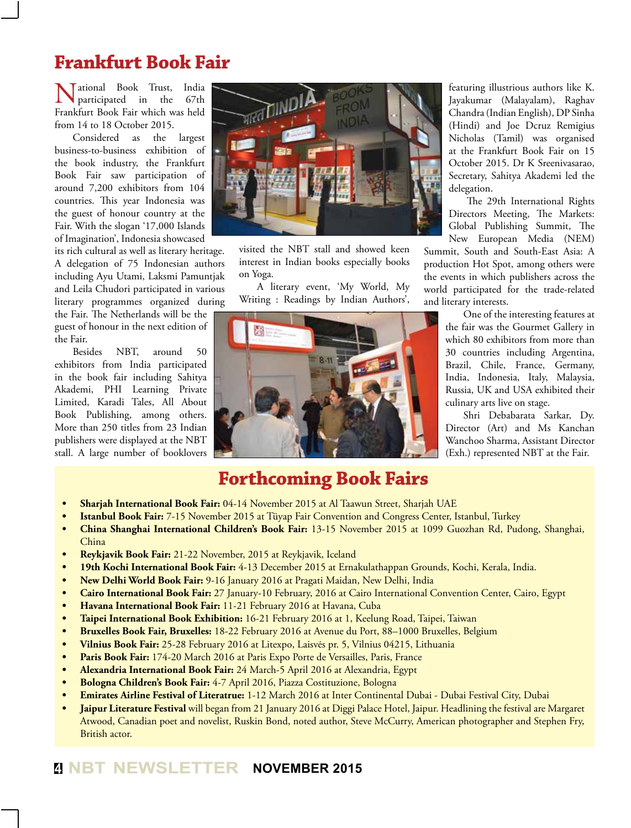## **Frankfurt Book Fair**

**Value of** ational Book Trust, India<br>participated in the 67th participated in the Frankfurt Book Fair which was held from 14 to 18 October 2015.

Considered as the largest business-to-business exhibition of the book industry, the Frankfurt Book Fair saw participation of around 7,200 exhibitors from 104 countries. This year Indonesia was the guest of honour country at the Fair. With the slogan '17,000 Islands of Imagination', Indonesia showcased

its rich cultural as well as literary heritage. A delegation of 75 Indonesian authors including Ayu Utami, Laksmi Pamuntjak and Leila Chudori participated in various literary programmes organized during

the Fair. The Netherlands will be the guest of honour in the next edition of the Fair.

Besides NBT, around 50 exhibitors from India participated in the book fair including Sahitya Akademi, PHI Learning Private Limited, Karadi Tales, All About Book Publishing, among others. More than 250 titles from 23 Indian publishers were displayed at the NBT stall. A large number of booklovers



visited the NBT stall and showed keen interest in Indian books especially books on Yoga.

A literary event, 'My World, My Writing : Readings by Indian Authors',



**Forthcoming Book Fairs**

featuring illustrious authors like K. Jayakumar (Malayalam), Raghav Chandra (Indian English), DP Sinha (Hindi) and Joe Dcruz Remigius Nicholas (Tamil) was organised at the Frankfurt Book Fair on 15 October 2015. Dr K Sreenivasarao, Secretary, Sahitya Akademi led the delegation.

The 29th International Rights Directors Meeting, The Markets: Global Publishing Summit, The New European Media (NEM)

Summit, South and South-East Asia: A production Hot Spot, among others were the events in which publishers across the world participated for the trade-related and literary interests.

> One of the interesting features at the fair was the Gourmet Gallery in which 80 exhibitors from more than 30 countries including Argentina, Brazil, Chile, France, Germany, India, Indonesia, Italy, Malaysia, Russia, UK and USA exhibited their culinary arts live on stage.

> Shri Debabarata Sarkar, Dy. Director (Art) and Ms Kanchan Wanchoo Sharma, Assistant Director (Exh.) represented NBT at the Fair.

- **• Sharjah International Book Fair:** 04-14 November 2015 at Al Taawun Street, Sharjah UAE
- **Istanbul Book Fair:** 7-15 November 2015 at Tüyap Fair Convention and Congress Center, Istanbul, Turkey
- **• China Shanghai International Children's Book Fair:** 13-15 November 2015 at 1099 Guozhan Rd, Pudong, Shanghai, China
- **• Reykjavik Book Fair:** 21-22 November, 2015 at Reykjavik, Iceland
- **• 19th Kochi International Book Fair:** 4-13 December 2015 at Ernakulathappan Grounds, Kochi, Kerala, India.
- **• New Delhi World Book Fair:** 9-16 January 2016 at Pragati Maidan, New Delhi, India
- **• Cairo International Book Fair:** 27 January-10 February, 2016 at Cairo International Convention Center, Cairo, Egypt
- **• Havana International Book Fair:** 11-21 February 2016 at Havana, Cuba
- **• Taipei International Book Exhibition:** 16-21 February 2016 at 1, Keelung Road, Taipei, Taiwan
- **• Bruxelles Book Fair, Bruxelles:** 18-22 February 2016 at Avenue du Port, 88–1000 Bruxelles, Belgium
- **• Vilnius Book Fair:** 25-28 February 2016 at Litexpo, Laisvės pr. 5, Vilnius 04215, Lithuania
- **• Paris Book Fair:** 174-20 March 2016 at Paris Expo Porte de Versailles, Paris, France
- **• Alexandria International Book Fair:** 24 March-5 April 2016 at Alexandria, Egypt
- **• Bologna Children's Book Fair:** 4-7 April 2016, Piazza Costituzione, Bologna
- **• Emirates Airline Festival of Literatrue:** 1-12 March 2016 at Inter Continental Dubai Dubai Festival City, Dubai
- **Jaipur Literature Festival** will began from 21 January 2016 at Diggi Palace Hotel, Jaipur. Headlining the festival are Margaret Atwood, Canadian poet and novelist, Ruskin Bond, noted author, Steve McCurry, American photographer and Stephen Fry, British actor.

## **<sup>4</sup> NBT NEWSLETTER NOVEMBER 2015**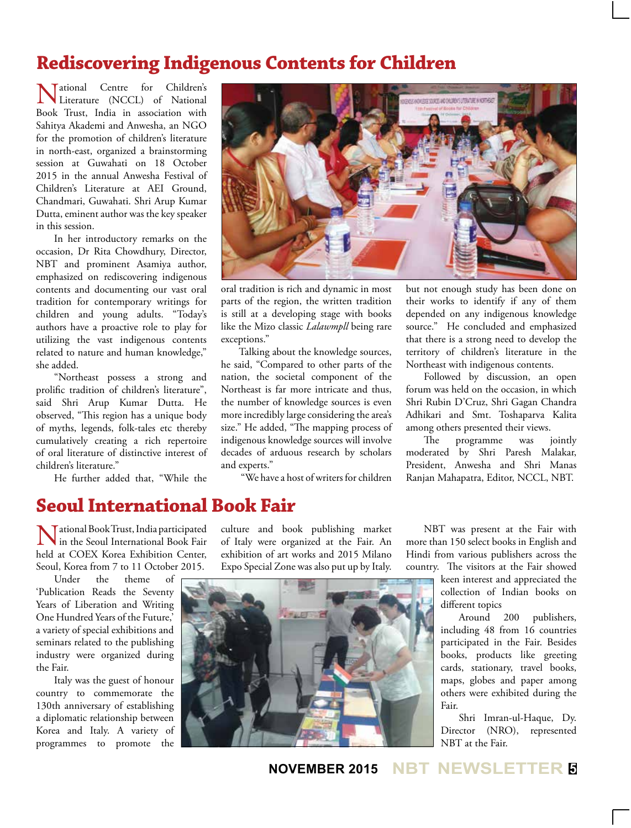## **Rediscovering Indigenous Contents for Children**

National Centre for Children's Literature (NCCL) of National Book Trust, India in association with Sahitya Akademi and Anwesha, an NGO for the promotion of children's literature in north-east, organized a brainstorming session at Guwahati on 18 October 2015 in the annual Anwesha Festival of Children's Literature at AEI Ground, Chandmari, Guwahati. Shri Arup Kumar Dutta, eminent author was the key speaker in this session.

In her introductory remarks on the occasion, Dr Rita Chowdhury, Director, NBT and prominent Asamiya author, emphasized on rediscovering indigenous contents and documenting our vast oral tradition for contemporary writings for children and young adults. "Today's authors have a proactive role to play for utilizing the vast indigenous contents related to nature and human knowledge," she added.

"Northeast possess a strong and prolific tradition of children's literature", said Shri Arup Kumar Dutta. He observed, "This region has a unique body of myths, legends, folk-tales etc thereby cumulatively creating a rich repertoire of oral literature of distinctive interest of children's literature."

He further added that, "While the



oral tradition is rich and dynamic in most parts of the region, the written tradition is still at a developing stage with books like the Mizo classic *Lalawmpll* being rare exceptions."

Talking about the knowledge sources, he said, "Compared to other parts of the nation, the societal component of the Northeast is far more intricate and thus, the number of knowledge sources is even more incredibly large considering the area's size." He added, "The mapping process of indigenous knowledge sources will involve decades of arduous research by scholars and experts."

"We have a host of writers for children

but not enough study has been done on their works to identify if any of them depended on any indigenous knowledge source." He concluded and emphasized that there is a strong need to develop the territory of children's literature in the Northeast with indigenous contents.

Followed by discussion, an open forum was held on the occasion, in which Shri Rubin D'Cruz, Shri Gagan Chandra Adhikari and Smt. Toshaparva Kalita among others presented their views.

The programme was jointly moderated by Shri Paresh Malakar, President, Anwesha and Shri Manas Ranjan Mahapatra, Editor, NCCL, NBT.

## **Seoul International Book Fair**

Tational Book Trust, India participated in the Seoul International Book Fair held at COEX Korea Exhibition Center, Seoul, Korea from 7 to 11 October 2015.

Under the theme of 'Publication Reads the Seventy Years of Liberation and Writing One Hundred Years of the Future,' a variety of special exhibitions and seminars related to the publishing industry were organized during the Fair.

Italy was the guest of honour country to commemorate the 130th anniversary of establishing a diplomatic relationship between Korea and Italy. A variety of programmes to promote the

culture and book publishing market of Italy were organized at the Fair. An exhibition of art works and 2015 Milano Expo Special Zone was also put up by Italy.



NBT was present at the Fair with more than 150 select books in English and Hindi from various publishers across the country. The visitors at the Fair showed

> keen interest and appreciated the collection of Indian books on different topics

Around 200 publishers, including 48 from 16 countries participated in the Fair. Besides books, products like greeting cards, stationary, travel books, maps, globes and paper among others were exhibited during the Fair.

Shri Imran-ul-Haque, Dy. Director (NRO), represented NBT at the Fair.

**NOVEMBER 2015 NBT NEWSLETTER <sup>5</sup>**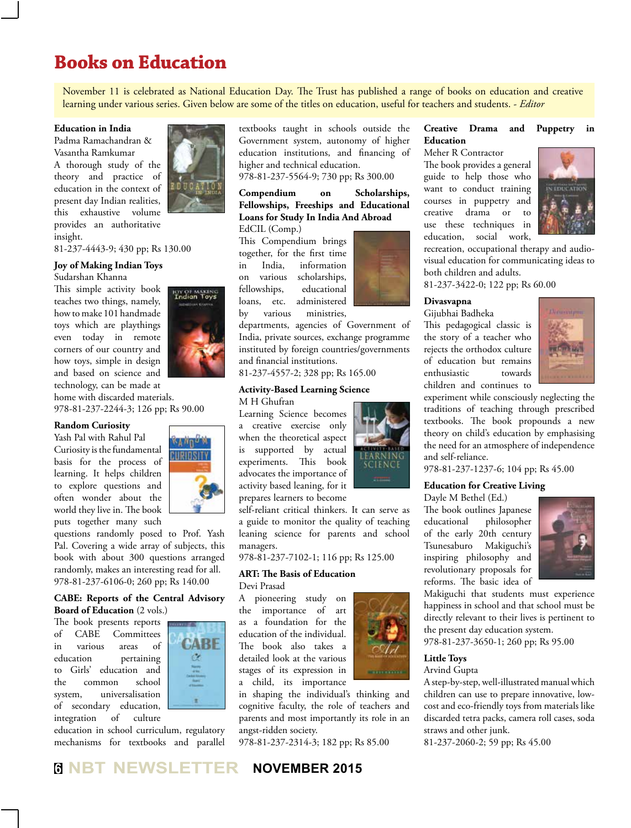## **Books on Education**

November 11 is celebrated as National Education Day. The Trust has published a range of books on education and creative learning under various series. Given below are some of the titles on education, useful for teachers and students. - *Editor*

#### **Education in India**

Padma Ramachandran & Vasantha Ramkumar A thorough study of the theory and practice of education in the context of present day Indian realities, this exhaustive volume provides an authoritative insight.

81-237-4443-9; 430 pp; Rs 130.00

#### **Joy of Making Indian Toys**

Sudarshan Khanna

This simple activity book teaches two things, namely, how to make 101 handmade toys which are playthings even today in remote corners of our country and how toys, simple in design and based on science and technology, can be made at



home with discarded materials. 978-81-237-2244-3; 126 pp; Rs 90.00

#### **Random Curiosity**

Yash Pal with Rahul Pal Curiosity is the fundamental basis for the process of learning. It helps children to explore questions and often wonder about the world they live in. The book puts together many such



questions randomly posed to Prof. Yash Pal. Covering a wide array of subjects, this book with about 300 questions arranged randomly, makes an interesting read for all. 978-81-237-6106-0; 260 pp; Rs 140.00

#### **CABE: Reports of the Central Advisory Board of Education** (2 vols.)

The book presents reports of CABE Committees in various areas of education pertaining to Girls' education and the common school system, universalisation of secondary education, integration of culture



education in school curriculum, regulatory mechanisms for textbooks and parallel textbooks taught in schools outside the Government system, autonomy of higher education institutions, and financing of higher and technical education. 978-81-237-5564-9; 730 pp; Rs 300.00

**Compendium on Scholarships, Fellowships, Freeships and Educational Loans for Study In India And Abroad** EdCIL (Comp.)

This Compendium brings together, for the first time in India, information on various scholarships, fellowships, educational loans, etc. administered by various ministries,

departments, agencies of Government of India, private sources, exchange programme instituted by foreign countries/governments and financial institutions.

81-237-4557-2; 328 pp; Rs 165.00

#### **Activity-Based Learning Science**

M H Ghufran Learning Science becomes a creative exercise only when the theoretical aspect is supported by actual experiments. This book advocates the importance of activity based leaning, for it prepares learners to become

self-reliant critical thinkers. It can serve as a guide to monitor the quality of teaching leaning science for parents and school managers.

978-81-237-7102-1; 116 pp; Rs 125.00

#### **ART: The Basis of Education** Devi Prasad

A pioneering study on the importance of art as a foundation for the education of the individual. The book also takes a detailed look at the various stages of its expression in a child, its importance

in shaping the individual's thinking and cognitive faculty, the role of teachers and parents and most importantly its role in an angst-ridden society.

978-81-237-2314-3; 182 pp; Rs 85.00



## The book provides a general

Meher R Contractor

guide to help those who want to conduct training courses in puppetry and creative drama or to use these techniques in education, social work,



recreation, occupational therapy and audiovisual education for communicating ideas to both children and adults.

**Creative Drama and Puppetry in** 

81-237-3422-0; 122 pp; Rs 60.00

#### **Divasvapna**

**Education**

Gijubhai Badheka This pedagogical classic is the story of a teacher who rejects the orthodox culture of education but remains enthusiastic towards children and continues to



experiment while consciously neglecting the traditions of teaching through prescribed textbooks. The book propounds a new theory on child's education by emphasising the need for an atmosphere of independence and self-reliance.

978-81-237-1237-6; 104 pp; Rs 45.00

#### **Education for Creative Living**

Dayle M Bethel (Ed.) The book outlines Japanese educational philosopher of the early 20th century Tsunesaburo Makiguchi's inspiring philosophy and revolutionary proposals for reforms. The basic idea of



Makiguchi that students must experience happiness in school and that school must be directly relevant to their lives is pertinent to the present day education system.

978-81-237-3650-1; 260 pp; Rs 95.00

#### **Little Toys**

#### Arvind Gupta

A step-by-step, well-illustrated manual which children can use to prepare innovative, lowcost and eco-friendly toys from materials like discarded tetra packs, camera roll cases, soda straws and other junk.

81-237-2060-2; 59 pp; Rs 45.00



**<sup>6</sup> NBT NEWSLETTER NOVEMBER 2015**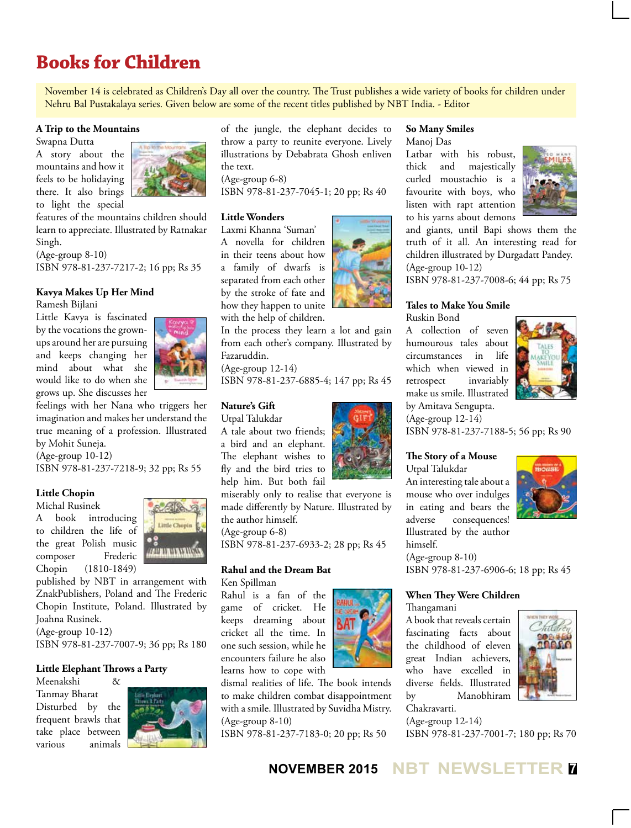## **Books for Children**

November 14 is celebrated as Children's Day all over the country. The Trust publishes a wide variety of books for children under Nehru Bal Pustakalaya series. Given below are some of the recent titles published by NBT India. - Editor

#### **A Trip to the Mountains**

Swapna Dutta

A story about the mountains and how it feels to be holidaying there. It also brings to light the special



features of the mountains children should learn to appreciate. Illustrated by Ratnakar Singh.

(Age-group 8-10) ISBN 978-81-237-7217-2; 16 pp; Rs 35

#### **Kavya Makes Up Her Mind**

Ramesh Bijlani

Little Kavya is fascinated by the vocations the grownups around her are pursuing and keeps changing her mind about what she would like to do when she grows up. She discusses her



feelings with her Nana who triggers her imagination and makes her understand the true meaning of a profession. Illustrated by Mohit Suneja.

(Age-group 10-12)

ISBN 978-81-237-7218-9; 32 pp; Rs 55

#### **Little Chopin**

Michal Rusinek A book introducing

to children the life of the great Polish music composer Frederic Chopin (1810-1849)



published by NBT in arrangement with ZnakPublishers, Poland and The Frederic Chopin Institute, Poland. Illustrated by Joahna Rusinek.

(Age-group 10-12)

ISBN 978-81-237-7007-9; 36 pp; Rs 180

#### **Little Elephant Throws a Party**

Meenakshi & Tanmay Bharat Disturbed by the frequent brawls that take place between various animals



of the jungle, the elephant decides to throw a party to reunite everyone. Lively illustrations by Debabrata Ghosh enliven the text. (Age-group 6-8) ISBN 978-81-237-7045-1; 20 pp; Rs 40

#### **Little Wonders**

Laxmi Khanna 'Suman' A novella for children in their teens about how a family of dwarfs is separated from each other by the stroke of fate and how they happen to unite with the help of children.

In the process they learn a lot and gain from each other's company. Illustrated by Fazaruddin.

(Age-group 12-14) ISBN 978-81-237-6885-4; 147 pp; Rs 45

#### **Nature's Gift**

Utpal Talukdar A tale about two friends; a bird and an elephant. The elephant wishes to fly and the bird tries to help him. But both fail

miserably only to realise that everyone is made differently by Nature. Illustrated by the author himself.

(Age-group 6-8)

ISBN 978-81-237-6933-2; 28 pp; Rs 45

#### **Rahul and the Dream Bat** Ken Spillman

Rahul is a fan of the game of cricket. He keeps dreaming about cricket all the time. In one such session, while he encounters failure he also learns how to cope with

dismal realities of life. The book intends to make children combat disappointment with a smile. Illustrated by Suvidha Mistry. (Age-group 8-10)

ISBN 978-81-237-7183-0; 20 pp; Rs 50

#### **So Many Smiles**

Manoj Das

Latbar with his robust, thick and majestically curled moustachio is a favourite with boys, who listen with rapt attention to his yarns about demons



and giants, until Bapi shows them the truth of it all. An interesting read for children illustrated by Durgadatt Pandey. (Age-group 10-12)

ISBN 978-81-237-7008-6; 44 pp; Rs 75

### **Tales to Make You Smile**

Ruskin Bond

A collection of seven humourous tales about circumstances in life which when viewed in retrospect invariably make us smile. Illustrated by Amitava Sengupta.



(Age-group 12-14) ISBN 978-81-237-7188-5; 56 pp; Rs 90

#### **The Story of a Mouse**

Utpal Talukdar An interesting tale about a mouse who over indulges in eating and bears the adverse consequences! Illustrated by the author himself. (Age-group 8-10)

ISBN 978-81-237-6906-6; 18 pp; Rs 45

#### **When They Were Children**

Thangamani

A book that reveals certain fascinating facts about the childhood of eleven great Indian achievers, who have excelled in diverse fields. Illustrated by Manobhiram Chakravarti.



(Age-group 12-14)

ISBN 978-81-237-7001-7; 180 pp; Rs 70